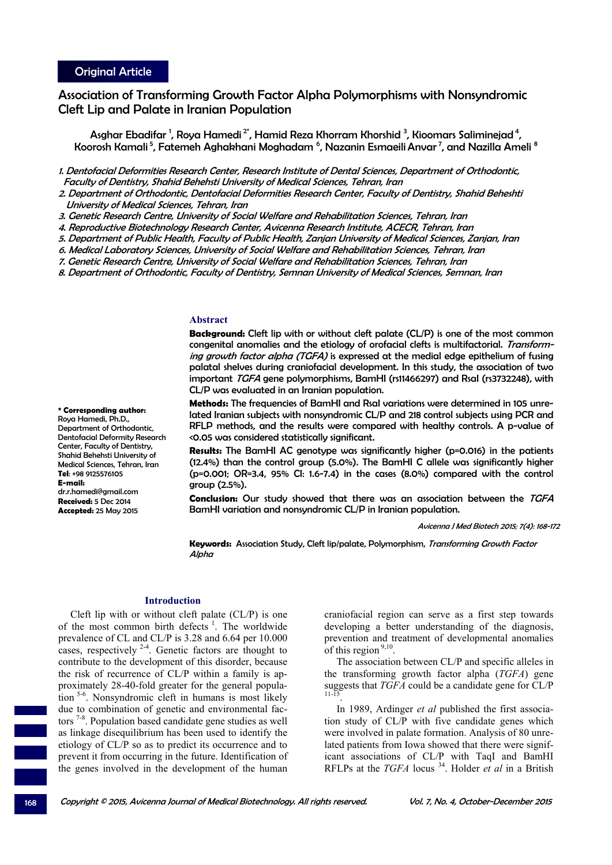Association of Transforming Growth Factor Alpha Polymorphisms with Nonsyndromic Cleft Lip and Palate in Iranian Population

Asghar Ebadifar <sup>1</sup>, Roya Hamedi <sup>2\*</sup>, Hamid Reza Khorram Khorshid <sup>3</sup>, Kioomars Saliminejad <sup>4</sup>, Koorosh Kamali <sup>5</sup>, Fatemeh Aghakhani Moghadam <sup>6</sup>, Nazanin Esmaeili Anvar <sup>7</sup>, and Nazilla Ameli <sup>8</sup>

1. Dentofacial Deformities Research Center, Research Institute of Dental Sciences, Department of Orthodontic, Faculty of Dentistry, Shahid Behehsti University of Medical Sciences, Tehran, Iran

2. Department of Orthodontic, Dentofacial Deformities Research Center, Faculty of Dentistry, Shahid Beheshti University of Medical Sciences, Tehran, Iran

3. Genetic Research Centre, University of Social Welfare and Rehabilitation Sciences, Tehran, Iran

4. Reproductive Biotechnology Research Center, Avicenna Research Institute, ACECR, Tehran, Iran

5. Department of Public Health, Faculty of Public Health, Zanjan University of Medical Sciences, Zanjan, Iran

6. Medical Laboratory Sciences, University of Social Welfare and Rehabilitation Sciences, Tehran, Iran

7. Genetic Research Centre, University of Social Welfare and Rehabilitation Sciences, Tehran, Iran

8. Department of Orthodontic, Faculty of Dentistry, Semnan University of Medical Sciences, Semnan, Iran

# **Abstract**

**Background:** Cleft lip with or without cleft palate (CL/P) is one of the most common congenital anomalies and the etiology of orofacial clefts is multifactorial. Transforming growth factor alpha (TGFA) is expressed at the medial edge epithelium of fusing palatal shelves during craniofacial development. In this study, the association of two important TGFA gene polymorphisms, BamHI (rs11466297) and Rsal (rs3732248), with CL/P was evaluated in an Iranian population.

**Methods:** The frequencies of BamHI and RsaI variations were determined in 105 unrelated Iranian subjects with nonsyndromic CL/P and 218 control subjects using PCR and RFLP methods, and the results were compared with healthy controls. A p-value of <0.05 was considered statistically significant.

**Results:** The BamHI AC genotype was significantly higher (p=0.016) in the patients (12.4%) than the control group (5.0%). The BamHI C allele was significantly higher (p=0.001; OR=3.4, 95% CI: 1.6-7.4) in the cases (8.0%) compared with the control group (2.5%).

**Conclusion:** Our study showed that there was an association between the TGFA BamHI variation and nonsyndromic CL/P in Iranian population.

Avicenna J Med Biotech 2015; 7(4): 168-172

**Keywords:** Association Study, Cleft lip/palate, Polymorphism, Transforming Growth Factor **Alpha** 

#### **Introduction**

Cleft lip with or without cleft palate (CL/P) is one of the most common birth defects  $\frac{1}{1}$ . The worldwide prevalence of CL and CL/P is 3.28 and 6.64 per 10.000 cases, respectively  $2-4$ . Genetic factors are thought to contribute to the development of this disorder, because the risk of recurrence of CL/P within a family is approximately 28-40-fold greater for the general population 5-6. Nonsyndromic cleft in humans is most likely due to combination of genetic and environmental factors 7-8. Population based candidate gene studies as well as linkage disequilibrium has been used to identify the etiology of CL/P so as to predict its occurrence and to prevent it from occurring in the future. Identification of the genes involved in the development of the human

craniofacial region can serve as a first step towards developing a better understanding of the diagnosis, prevention and treatment of developmental anomalies of this region<sup>9,10</sup>.

The association between CL/P and specific alleles in the transforming growth factor alpha (*TGFA*) gene suggests that *TGFA* could be a candidate gene for CL/P

In 1989, Ardinger *et al* published the first association study of CL/P with five candidate genes which were involved in palate formation. Analysis of 80 unrelated patients from Iowa showed that there were significant associations of CL/P with TaqI and BamHI RFLPs at the *TGFA* locus 34. Holder *et al* in a British

Roya Hamedi, Ph.D., Department of Orthodontic, Dentofacial Deformity Research Center, Faculty of Dentistry, Shahid Behehsti University of Medical Sciences, Tehran, Iran **Tel**: +98 9125576105

**\* Corresponding author:** 

**E-mail:** dr.r.hamedi@gmail.com **Received:** 5 Dec 2014 **Accepted:** 25 May 2015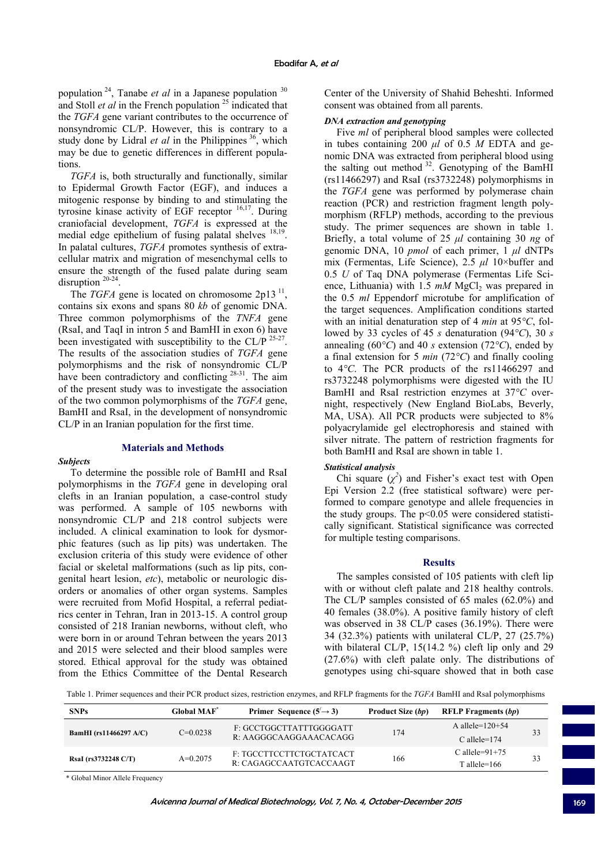population 24, Tanabe *et al* in a Japanese population <sup>30</sup> and Stoll *et al* in the French population<sup>25</sup> indicated that the *TGFA* gene variant contributes to the occurrence of nonsyndromic CL/P. However, this is contrary to a study done by Lidral *et al* in the Philippines  $36$ , which may be due to genetic differences in different populations.

*TGFA* is, both structurally and functionally, similar to Epidermal Growth Factor (EGF), and induces a mitogenic response by binding to and stimulating the tyrosine kinase activity of EGF receptor 16,17. During craniofacial development, *TGFA* is expressed at the medial edge epithelium of fusing palatal shelves  $18,19$ . In palatal cultures, *TGFA* promotes synthesis of extracellular matrix and migration of mesenchymal cells to ensure the strength of the fused palate during seam disruption  $20-24$ 

The *TGFA* gene is located on chromosome  $2p13$ <sup>11</sup>, contains six exons and spans 80 *kb* of genomic DNA. Three common polymorphisms of the *TNFA* gene (RsaI, and TaqI in intron 5 and BamHI in exon 6) have been investigated with susceptibility to the CL/P  $^{25-27}$ . The results of the association studies of *TGFA* gene polymorphisms and the risk of nonsyndromic CL/P have been contradictory and conflicting <sup>28-31</sup>. The aim of the present study was to investigate the association of the two common polymorphisms of the *TGFA* gene, BamHI and RsaI, in the development of nonsyndromic CL/P in an Iranian population for the first time.

## **Materials and Methods**

#### *Subjects*

To determine the possible role of BamHI and RsaI polymorphisms in the *TGFA* gene in developing oral clefts in an Iranian population, a case-control study was performed. A sample of 105 newborns with nonsyndromic CL/P and 218 control subjects were included. A clinical examination to look for dysmorphic features (such as lip pits) was undertaken. The exclusion criteria of this study were evidence of other facial or skeletal malformations (such as lip pits, congenital heart lesion, *etc*), metabolic or neurologic disorders or anomalies of other organ systems. Samples were recruited from Mofid Hospital, a referral pediatrics center in Tehran, Iran in 2013-15. A control group consisted of 218 Iranian newborns, without cleft, who were born in or around Tehran between the years 2013 and 2015 were selected and their blood samples were stored. Ethical approval for the study was obtained from the Ethics Committee of the Dental Research

Center of the University of Shahid Beheshti. Informed consent was obtained from all parents.

# *DNA extraction and genotyping*

Five *ml* of peripheral blood samples were collected in tubes containing 200 *μl* of 0.5 *M* EDTA and genomic DNA was extracted from peripheral blood using the salting out method  $32$ . Genotyping of the BamHI (rs11466297) and RsaI (rs3732248) polymorphisms in the *TGFA* gene was performed by polymerase chain reaction (PCR) and restriction fragment length polymorphism (RFLP) methods, according to the previous study. The primer sequences are shown in table 1. Briefly, a total volume of 25 *μl* containing 30 *ng* of genomic DNA, 10 *pmol* of each primer, 1 *μl* dNTPs mix (Fermentas, Life Science), 2.5 *μl* 10×buffer and 0.5 *U* of Taq DNA polymerase (Fermentas Life Science, Lithuania) with 1.5  $mM$  MgCl<sub>2</sub> was prepared in the 0.5 *ml* Eppendorf microtube for amplification of the target sequences. Amplification conditions started with an initial denaturation step of 4 *min* at 95*°C*, followed by 33 cycles of 45 *s* denaturation (94*°C*), 30 *s* annealing (60*°C*) and 40 *s* extension (72*°C*), ended by a final extension for 5 *min* (72*°C*) and finally cooling to 4*°C*. The PCR products of the rs11466297 and rs3732248 polymorphisms were digested with the IU BamHI and RsaI restriction enzymes at 37*°C* overnight, respectively (New England BioLabs, Beverly, MA, USA). All PCR products were subjected to 8% polyacrylamide gel electrophoresis and stained with silver nitrate. The pattern of restriction fragments for both BamHI and RsaI are shown in table 1.

### *Statistical analysis*

Chi square  $(\chi^2)$  and Fisher's exact test with Open Epi Version 2.2 (free statistical software) were performed to compare genotype and allele frequencies in the study groups. The  $p<0.05$  were considered statistically significant. Statistical significance was corrected for multiple testing comparisons.

### **Results**

The samples consisted of 105 patients with cleft lip with or without cleft palate and 218 healthy controls. The CL/P samples consisted of 65 males (62.0%) and 40 females (38.0%). A positive family history of cleft was observed in 38 CL/P cases (36.19%). There were 34 (32.3%) patients with unilateral CL/P, 27 (25.7%) with bilateral CL/P, 15(14.2 %) cleft lip only and 29 (27.6%) with cleft palate only. The distributions of genotypes using chi-square showed that in both case

Table 1. Primer sequences and their PCR product sizes, restriction enzymes, and RFLP fragments for the *TGFA* BamHI and RsaI polymorphisms

| <b>SNPs</b>                   | <b>Global MAF</b><br>Primer Sequence $(5' \rightarrow 3)$ |                                                     | <b>Product Size (bp)</b><br><b>RFLP Fragments (bp)</b> |                                      |    |
|-------------------------------|-----------------------------------------------------------|-----------------------------------------------------|--------------------------------------------------------|--------------------------------------|----|
| <b>BamHI</b> (rs11466297 A/C) | $C=0.0238$                                                | F: GCCTGGCTTATTTGGGGATT<br>R: AAGGGCAAGGAAACACAGG   | 174                                                    | A allele= $120+54$<br>$C$ allele=174 | 33 |
| RsaI (rs3732248 C/T)          | $A=0.2075$                                                | F: TGCCTTCCTTCTGCTATCACT<br>R: CAGAGCCAATGTCACCAAGT | 166                                                    | C allele= $91+75$<br>$T$ allele=166  | 33 |

\* Global Minor Allele Frequency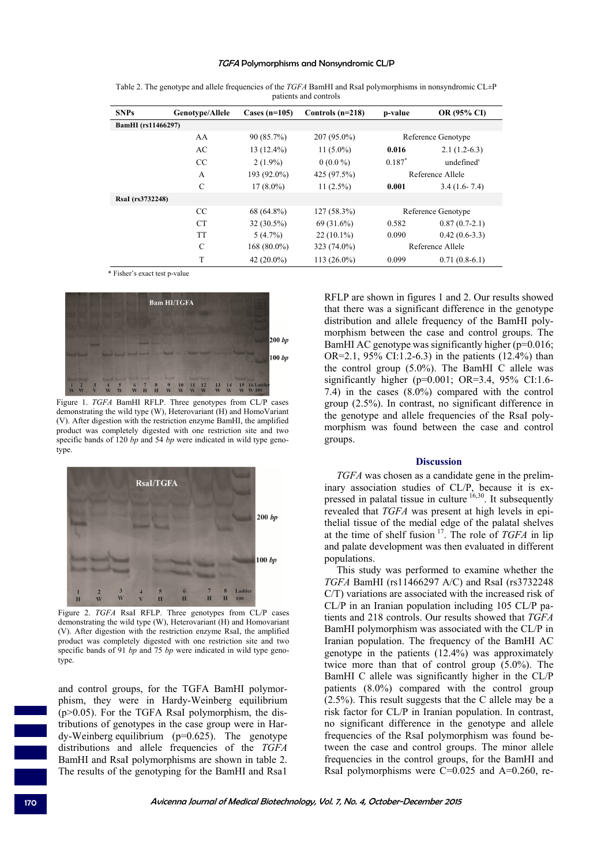### TGFA Polymorphisms and Nonsyndromic CL/P

| <b>SNPs</b>        | Genotype/Allele | Cases $(n=105)$ | Controls $(n=218)$ | p-value              | OR (95% CI)     |
|--------------------|-----------------|-----------------|--------------------|----------------------|-----------------|
| BamHI (rs11466297) |                 |                 |                    |                      |                 |
|                    | AA              | 90 (85.7%)      | $207(95.0\%)$      | Reference Genotype   |                 |
|                    | AC              | $13(12.4\%)$    | $11(5.0\%)$        | 0.016                | $2.1(1.2-6.3)$  |
|                    | <sub>CC</sub>   | $2(1.9\%)$      | $0(0.0\%)$         | $0.187$ <sup>*</sup> | undefined'      |
|                    | $\overline{A}$  | 193 (92.0%)     | 425 (97.5%)        | Reference Allele     |                 |
|                    | C               | $17(8.0\%)$     | $11(2.5\%)$        | 0.001                | $3.4(1.6-7.4)$  |
| RsaI (rs3732248)   |                 |                 |                    |                      |                 |
|                    | <sub>CC</sub>   | 68 (64.8%)      | $127(58.3\%)$      | Reference Genotype   |                 |
|                    | <b>CT</b>       | $32(30.5\%)$    | 69 (31.6%)         | 0.582                | $0.87(0.7-2.1)$ |
|                    | <b>TT</b>       | $5(4.7\%)$      | $22(10.1\%)$       | 0.090                | $0.42(0.6-3.3)$ |
|                    | C               | $168(80.0\%)$   | 323 (74.0%)        | Reference Allele     |                 |
|                    | T               | 42 $(20.0\%)$   | $113(26.0\%)$      | 0.099                | $0.71(0.8-6.1)$ |

Table 2. The genotype and allele frequencies of the *TGFA* BamHI and RsaI polymorphisms in nonsyndromic CL±P patients and controls

\* Fisher's exact test p-value



Figure 1. *TGFA* BamHI RFLP. Three genotypes from CL/P cases demonstrating the wild type (W), Heterovariant (H) and HomoVariant (V). After digestion with the restriction enzyme BamHI, the amplified product was completely digested with one restriction site and two specific bands of 120 *bp* and 54 *bp* were indicated in wild type genotype.



Figure 2. *TGFA* RsaI RFLP. Three genotypes from CL/P cases demonstrating the wild type (W), Heterovariant (H) and Homovariant (V). After digestion with the restriction enzyme RsaI, the amplified product was completely digested with one restriction site and two specific bands of 91 *bp* and 75 *bp* were indicated in wild type genotype.

and control groups, for the TGFA BamHI polymorphism, they were in Hardy-Weinberg equilibrium  $(p>0.05)$ . For the TGFA RsaI polymorphism, the distributions of genotypes in the case group were in Hardy-Weinberg equilibrium (p=0.625). The genotype distributions and allele frequencies of the *TGFA* BamHI and RsaI polymorphisms are shown in table 2. The results of the genotyping for the BamHI and Rsa1

RFLP are shown in figures 1 and 2. Our results showed that there was a significant difference in the genotype distribution and allele frequency of the BamHI polymorphism between the case and control groups. The BamHI AC genotype was significantly higher (p=0.016; OR=2.1, 95% CI:1.2-6.3) in the patients  $(12.4\%)$  than the control group (5.0%). The BamHI C allele was significantly higher ( $p=0.001$ ; OR=3.4, 95% CI:1.6-7.4) in the cases (8.0%) compared with the control group (2.5%). In contrast, no significant difference in the genotype and allele frequencies of the RsaI polymorphism was found between the case and control groups.

#### **Discussion**

*TGFA* was chosen as a candidate gene in the preliminary association studies of CL/P, because it is expressed in palatal tissue in culture  $16,30$ . It subsequently revealed that *TGFA* was present at high levels in epithelial tissue of the medial edge of the palatal shelves at the time of shelf fusion 17. The role of *TGFA* in lip and palate development was then evaluated in different populations.

This study was performed to examine whether the *TGFA* BamHI (rs11466297 A/C) and RsaI (rs3732248 C/T) variations are associated with the increased risk of CL/P in an Iranian population including 105 CL/P patients and 218 controls. Our results showed that *TGFA* BamHI polymorphism was associated with the CL/P in Iranian population. The frequency of the BamHI AC genotype in the patients (12.4%) was approximately twice more than that of control group (5.0%). The BamHI C allele was significantly higher in the CL/P patients (8.0%) compared with the control group (2.5%). This result suggests that the C allele may be a risk factor for CL/P in Iranian population. In contrast, no significant difference in the genotype and allele frequencies of the RsaI polymorphism was found between the case and control groups. The minor allele frequencies in the control groups, for the BamHI and RsaI polymorphisms were  $C=0.025$  and  $A=0.260$ , re-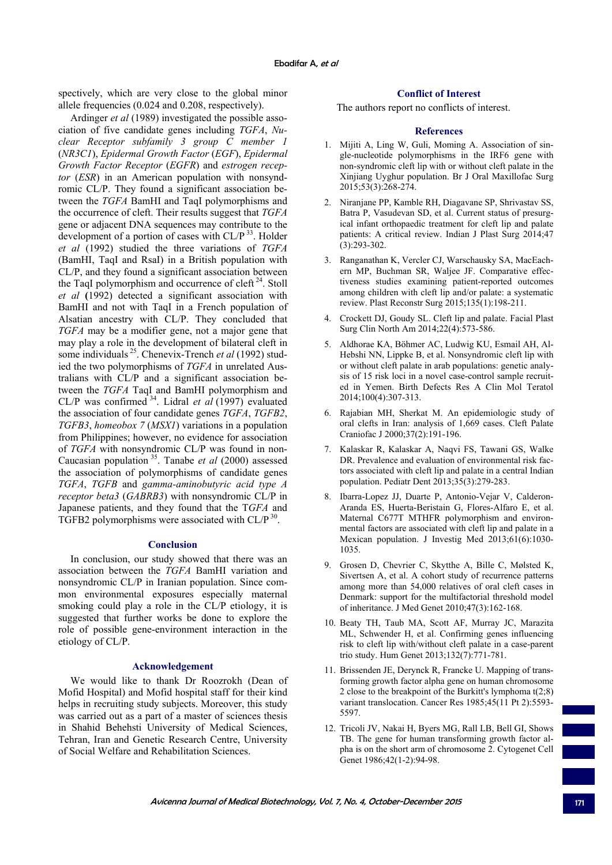spectively, which are very close to the global minor allele frequencies (0.024 and 0.208, respectively).

Ardinger *et al* (1989) investigated the possible association of five candidate genes including *TGFA*, *Nuclear Receptor subfamily 3 group C member 1* (*NR3C1*), *Epidermal Growth Factor* (*EGF*), *Epidermal Growth Factor Receptor* (*EGFR*) and *estrogen receptor* (*ESR*) in an American population with nonsyndromic CL/P. They found a significant association between the *TGFA* BamHI and TaqI polymorphisms and the occurrence of cleft. Their results suggest that *TGFA* gene or adjacent DNA sequences may contribute to the development of a portion of cases with  $CL/P$ <sup>33</sup>. Holder *et al* (1992) studied the three variations of *TGFA* (BamHI, TaqI and RsaI) in a British population with CL/P, and they found a significant association between the TaqI polymorphism and occurrence of cleft  $24$ . Stoll *et al* **(**1992) detected a significant association with BamHI and not with TaqI in a French population of Alsatian ancestry with CL/P. They concluded that *TGFA* may be a modifier gene, not a major gene that may play a role in the development of bilateral cleft in some individuals 25. Chenevix-Trench *et al* (1992) studied the two polymorphisms of *TGFA* in unrelated Australians with CL/P and a significant association between the *TGFA* TaqI and BamHI polymorphism and CL/P was confirmed 34. Lidral *et al* (1997) evaluated the association of four candidate genes *TGFA*, *TGFB2*, *TGFB3*, *homeobox 7* (*MSX1*) variations in a population from Philippines; however, no evidence for association of *TGFA* with nonsyndromic CL/P was found in non-Caucasian population 35. Tanabe *et al* (2000) assessed the association of polymorphisms of candidate genes *TGFA*, *TGFB* and *gamma-aminobutyric acid type A receptor beta3* (*GABRB3*) with nonsyndromic CL/P in Japanese patients, and they found that the T*GFA* and TGFB2 polymorphisms were associated with CL/P<sup>30</sup>.

## **Conclusion**

In conclusion, our study showed that there was an association between the *TGFA* BamHI variation and nonsyndromic CL/P in Iranian population. Since common environmental exposures especially maternal smoking could play a role in the CL/P etiology, it is suggested that further works be done to explore the role of possible gene-environment interaction in the etiology of CL/P.

### **Acknowledgement**

We would like to thank Dr Roozrokh (Dean of Mofid Hospital) and Mofid hospital staff for their kind helps in recruiting study subjects. Moreover, this study was carried out as a part of a master of sciences thesis in Shahid Behehsti University of Medical Sciences, Tehran, Iran and Genetic Research Centre, University of Social Welfare and Rehabilitation Sciences.

# **Conflict of Interest**

The authors report no conflicts of interest.

#### **References**

- 1. Mijiti A, Ling W, Guli, Moming A. Association of single-nucleotide polymorphisms in the IRF6 gene with non-syndromic cleft lip with or without cleft palate in the Xinjiang Uyghur population. Br J Oral Maxillofac Surg 2015;53(3):268-274.
- 2. Niranjane PP, Kamble RH, Diagavane SP, Shrivastav SS, Batra P, Vasudevan SD, et al. Current status of presurgical infant orthopaedic treatment for cleft lip and palate patients: A critical review. Indian J Plast Surg 2014;47 (3):293-302.
- 3. Ranganathan K, Vercler CJ, Warschausky SA, MacEachern MP, Buchman SR, Waljee JF. Comparative effectiveness studies examining patient-reported outcomes among children with cleft lip and/or palate: a systematic review. Plast Reconstr Surg 2015;135(1):198-211.
- 4. Crockett DJ, Goudy SL. Cleft lip and palate. Facial Plast Surg Clin North Am 2014;22(4):573-586.
- 5. Aldhorae KA, Böhmer AC, Ludwig KU, Esmail AH, Al-Hebshi NN, Lippke B, et al. Nonsyndromic cleft lip with or without cleft palate in arab populations: genetic analysis of 15 risk loci in a novel case-control sample recruited in Yemen. Birth Defects Res A Clin Mol Teratol 2014;100(4):307-313.
- 6. Rajabian MH, Sherkat M. An epidemiologic study of oral clefts in Iran: analysis of 1,669 cases. Cleft Palate Craniofac J 2000;37(2):191-196.
- 7. Kalaskar R, Kalaskar A, Naqvi FS, Tawani GS, Walke DR. Prevalence and evaluation of environmental risk factors associated with cleft lip and palate in a central Indian population. Pediatr Dent 2013;35(3):279-283.
- 8. Ibarra-Lopez JJ, Duarte P, Antonio-Vejar V, Calderon-Aranda ES, Huerta-Beristain G, Flores-Alfaro E, et al. Maternal C677T MTHFR polymorphism and environmental factors are associated with cleft lip and palate in a Mexican population. J Investig Med 2013;61(6):1030- 1035.
- 9. Grosen D, Chevrier C, Skytthe A, Bille C, Mølsted K, Sivertsen A, et al. A cohort study of recurrence patterns among more than 54,000 relatives of oral cleft cases in Denmark: support for the multifactorial threshold model of inheritance. J Med Genet 2010;47(3):162-168.
- 10. Beaty TH, Taub MA, Scott AF, Murray JC, Marazita ML, Schwender H, et al. Confirming genes influencing risk to cleft lip with/without cleft palate in a case-parent trio study. Hum Genet 2013;132(7):771-781.
- 11. Brissenden JE, Derynck R, Francke U. Mapping of transforming growth factor alpha gene on human chromosome 2 close to the breakpoint of the Burkitt's lymphoma t(2;8) variant translocation. Cancer Res 1985;45(11 Pt 2):5593- 5597.
- 12. Tricoli JV, Nakai H, Byers MG, Rall LB, Bell GI, Shows TB. The gene for human transforming growth factor alpha is on the short arm of chromosome 2. Cytogenet Cell Genet 1986;42(1-2):94-98.